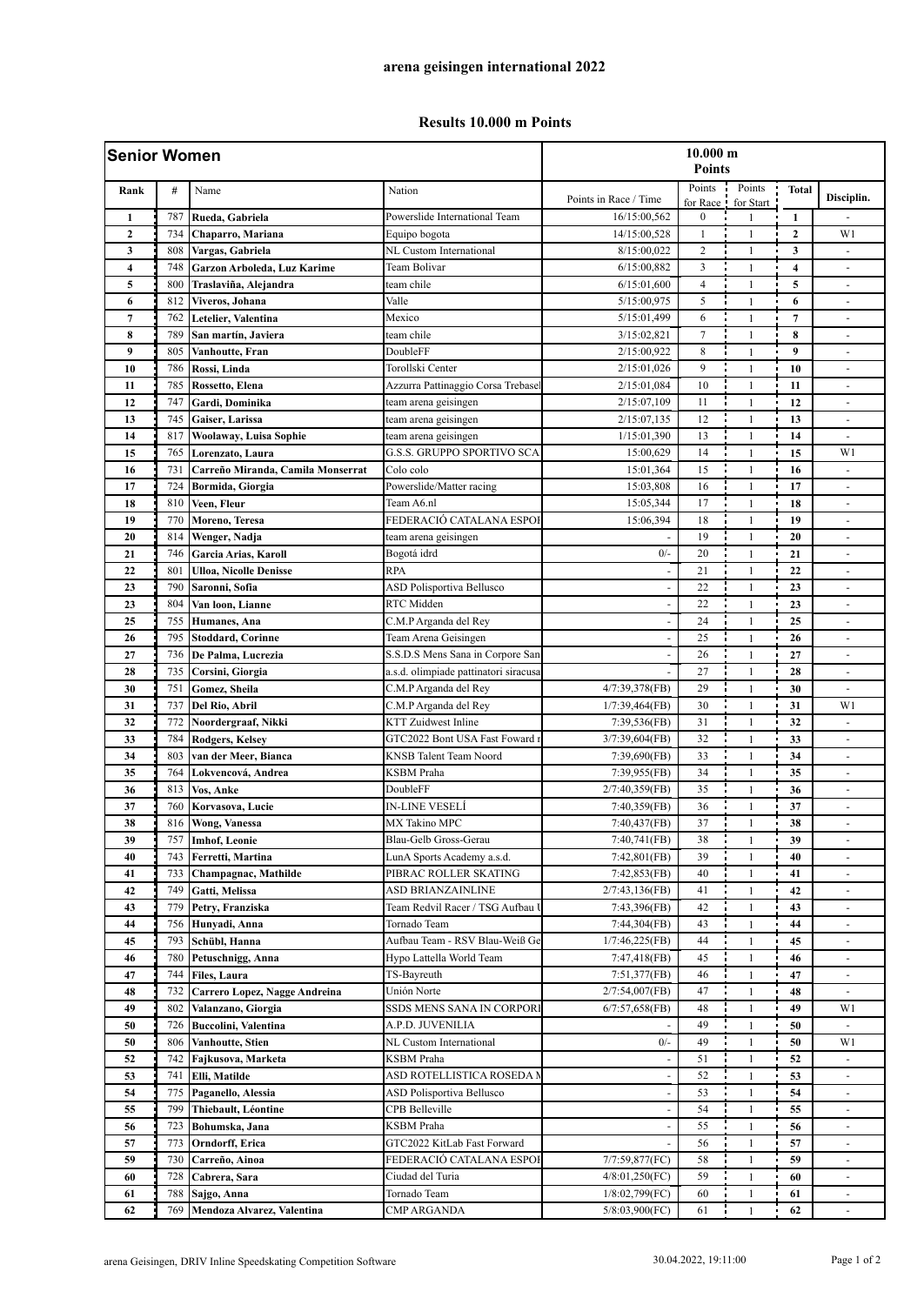## **Results 10.000 m Points**

| <b>Senior Women</b> |     |                                   |                                       | 10.000 m<br><b>Points</b> |                                |              |                         |                              |
|---------------------|-----|-----------------------------------|---------------------------------------|---------------------------|--------------------------------|--------------|-------------------------|------------------------------|
| Rank                | #   | Name                              | Nation                                | Points in Race / Time     | Points                         | Points       | <b>Total</b>            | Disciplin.                   |
| $\mathbf{1}$        | 787 | Rueda, Gabriela                   | Powerslide International Team         | 16/15:00,562              | for Race !<br>$\boldsymbol{0}$ | for Start    | 1                       |                              |
| $\overline{2}$      | 734 | Chaparro, Mariana                 | Equipo bogota                         | 14/15:00,528              | $\mathbf{1}$                   | $\mathbf{1}$ | $\mathbf{2}$            | W1                           |
| 3                   | 808 | Vargas, Gabriela                  | NL Custom International               | 8/15:00.022               | $\overline{c}$                 | $\mathbf{1}$ | 3                       | $\overline{\phantom{a}}$     |
| 4                   | 748 | Garzon Arboleda, Luz Karime       | Team Bolivar                          | 6/15:00,882               | 3                              | $\mathbf{1}$ | $\overline{\mathbf{4}}$ | ÷.                           |
| 5                   | 800 | Traslaviña, Alejandra             | team chile                            | 6/15:01,600               | 4                              | $\mathbf{1}$ | 5                       | ٠                            |
| 6                   | 812 | Viveros, Johana                   | Valle                                 | 5/15:00,975               | 5                              | $\mathbf{1}$ | 6                       |                              |
| $\overline{7}$      | 762 | Letelier, Valentina               | Mexico                                | 5/15:01,499               | 6                              | $\mathbf{1}$ | $\overline{7}$          |                              |
| 8                   | 789 | San martín, Javiera               | team chile                            | 3/15:02,821               | $\tau$                         | $\mathbf{1}$ | 8                       | ٠                            |
| 9                   | 805 | Vanhoutte, Fran                   | DoubleFF                              | 2/15:00.922               | 8                              | $\mathbf{1}$ | 9                       |                              |
| 10                  | 786 | Rossi, Linda                      | Torollski Center                      | 2/15:01,026               | 9                              | $\mathbf{1}$ | 10                      | $\overline{\phantom{a}}$     |
| 11                  | 785 | Rossetto, Elena                   | Azzurra Pattinaggio Corsa Trebase     | 2/15:01,084               | 10                             | $\mathbf{1}$ | 11                      | $\overline{\phantom{a}}$     |
| 12                  | 747 | Gardi, Dominika                   | team arena geisingen                  | 2/15:07,109               | 11                             | $\mathbf{1}$ | 12                      |                              |
| 13                  | 745 | Gaiser, Larissa                   | team arena geisingen                  | 2/15:07,135               | 12                             | $\mathbf{1}$ | 13                      | $\overline{a}$               |
| 14                  | 817 | Woolaway, Luisa Sophie            | team arena geisingen                  | 1/15:01,390               | 13                             | $\mathbf{1}$ | 14                      |                              |
| 15                  | 765 | Lorenzato, Laura                  | G.S.S. GRUPPO SPORTIVO SCA            | 15:00,629                 | 14                             | $\mathbf{1}$ | 15                      | W1                           |
| 16                  | 731 | Carreño Miranda, Camila Monserrat | Colo colo                             | 15:01,364                 | 15                             | $\mathbf{1}$ | 16                      | $\overline{\phantom{a}}$     |
| 17                  | 724 | Bormida, Giorgia                  | Powerslide/Matter racing              | 15:03,808                 | 16                             | $\mathbf{1}$ | 17                      |                              |
| 18                  | 810 | Veen, Fleur                       | Team A6.nl                            | 15:05,344                 | 17                             | $\mathbf{1}$ | 18                      | $\overline{a}$               |
| 19                  | 770 | Moreno, Teresa                    | FEDERACIÓ CATALANA ESPOI              | 15:06,394                 | 18                             | $\mathbf{1}$ | 19                      | ä,                           |
| 20                  | 814 | Wenger, Nadja                     | team arena geisingen                  |                           | 19                             | $\mathbf{1}$ | 20                      | $\overline{\phantom{a}}$     |
| 21                  | 746 | Garcia Arias, Karoll              | Bogotá idrd                           | $0/-$                     | 20                             | $\mathbf{1}$ | 21                      | ٠                            |
| 22                  | 801 | <b>Ulloa, Nicolle Denisse</b>     | <b>RPA</b>                            |                           | 21                             | $\mathbf{1}$ | 22                      | $\overline{\phantom{a}}$     |
| 23                  | 790 | Saronni, Sofia                    | <b>ASD Polisportiva Bellusco</b>      |                           | 22                             | $\mathbf{1}$ | 23                      | ä,                           |
| 23                  | 804 | Van loon, Lianne                  | RTC Midden                            |                           | 22                             | $\mathbf{1}$ | 23                      | ä,                           |
| 25                  | 755 | Humanes, Ana                      | C.M.P Arganda del Rey                 |                           | 24                             | $\mathbf{1}$ | 25                      | ÷                            |
| 26                  | 795 | <b>Stoddard, Corinne</b>          | Team Arena Geisingen                  |                           | 25                             | $\mathbf{1}$ | 26                      | ٠                            |
| 27                  | 736 | De Palma, Lucrezia                | S.S.D.S Mens Sana in Corpore San      |                           | 26                             | $\mathbf{1}$ | 27                      |                              |
| 28                  | 735 | Corsini, Giorgia                  | a.s.d. olimpiade pattinatori siracusa |                           | 27                             | $\mathbf{1}$ | 28                      |                              |
| 30                  | 751 | Gomez, Sheila                     | C.M.P Arganda del Rey                 | 4/7:39,378(FB)            | 29                             | $\mathbf{1}$ | 30                      | $\blacksquare$               |
| 31                  | 737 | Del Rio, Abril                    | C.M.P Arganda del Rey                 | 1/7:39,464(FB)            | 30                             | $\mathbf{1}$ | 31                      | W1                           |
| 32                  | 772 | Noordergraaf, Nikki               | <b>KTT</b> Zuidwest Inline            | 7:39,536(FB)              | 31                             | $\mathbf{1}$ | 32                      | $\overline{\phantom{a}}$     |
| 33                  | 784 | <b>Rodgers, Kelsey</b>            | GTC2022 Bont USA Fast Foward 1        | 3/7:39,604(FB)            | 32                             | $\mathbf{1}$ | 33                      | $\overline{\phantom{a}}$     |
| 34                  | 803 | van der Meer, Bianca              | KNSB Talent Team Noord                | 7:39,690(FB)              | 33                             | $\mathbf{1}$ | 34                      |                              |
| 35                  | 764 | Lokvencová, Andrea                | <b>KSBM</b> Praha                     | 7:39,955(FB)              | 34                             | $\mathbf{1}$ | 35                      | $\blacksquare$               |
| 36                  | 813 | Vos, Anke                         | DoubleFF                              | 2/7:40,359(FB)            | 35                             | $\mathbf{1}$ | 36                      | $\blacksquare$               |
| 37                  | 760 | Korvasova, Lucie                  | IN-LINE VESELÍ                        | 7:40,359(FB)              | 36                             | $\mathbf{1}$ | 37                      | $\qquad \qquad \blacksquare$ |
| 38                  | 816 | <b>Wong, Vanessa</b>              | <b>MX Takino MPC</b>                  | 7:40,437(FB)              | 37                             |              | 38                      | $\overline{\phantom{a}}$     |
| 39                  | 757 | <b>Imhof, Leonie</b>              | Blau-Gelb Gross-Gerau                 | 7:40,741(FB)              | 38                             | 1            | 39                      | $\overline{\phantom{a}}$     |
| 40                  | 743 | Ferretti, Martina                 | LunA Sports Academy a.s.d.            | 7:42,801(FB)              | 39                             | $\mathbf{1}$ | 40                      |                              |
| 41                  | 733 | Champagnac, Mathilde              | PIBRAC ROLLER SKATING                 | 7:42,853(FB)              | 40                             | $\mathbf{1}$ | 41                      |                              |
| 42                  | 749 | Gatti, Melissa                    | ASD BRIANZAINLINE                     | 2/7:43,136(FB)            | 41                             | 1            | 42                      | ÷.                           |
| 43                  | 779 | Petry, Franziska                  | Team Redvil Racer / TSG Aufbau I      | 7:43,396(FB)              | 42                             | 1            | 43                      | ۰                            |
| 44                  | 756 | Hunyadi, Anna                     | Tornado Team                          | 7:44,304(FB)              | 43                             | $\mathbf{1}$ | 44                      | $\overline{\phantom{a}}$     |
| 45                  | 793 | Schübl, Hanna                     | Aufbau Team - RSV Blau-Weiß Ge        | 1/7:46,225(FB)            | 44                             | $\mathbf{1}$ | 45                      | $\overline{\phantom{a}}$     |
| 46                  | 780 | Petuschnigg, Anna                 | Hypo Lattella World Team              | 7:47,418(FB)              | 45                             | $\mathbf{1}$ | 46                      |                              |
| 47                  | 744 | <b>Files, Laura</b>               | TS-Bayreuth                           | 7:51,377(FB)              | 46                             | $\mathbf{1}$ | 47                      |                              |
| 48                  | 732 | Carrero Lopez, Nagge Andreina     | Unión Norte                           | 2/7:54,007(FB)            | 47                             | 1            | 48                      | $\blacksquare$               |
| 49                  | 802 | Valanzano, Giorgia                | SSDS MENS SANA IN CORPORI             | 6/7:57,658(FB)            | 48                             | 1            | 49                      | W1                           |
| 50                  | 726 | Buccolini, Valentina              | A.P.D. JUVENILIA                      |                           | 49                             | $\mathbf{1}$ | 50                      |                              |
| 50                  | 806 | Vanhoutte, Stien                  | NL Custom International               | $0/-$                     | 49                             | $\mathbf{1}$ | 50                      | W1                           |
| 52                  | 742 | Fajkusova, Marketa                | KSBM Praha                            |                           | 51                             | $\mathbf{1}$ | 52                      |                              |
| 53                  | 741 | Elli, Matilde                     | ASD ROTELLISTICA ROSEDA N             |                           | 52                             | 1            | 53                      | $\overline{\phantom{a}}$     |
| 54                  | 775 | Paganello, Alessia                | <b>ASD Polisportiva Bellusco</b>      |                           | 53                             | 1            | 54                      | $\overline{\phantom{a}}$     |
| 55                  | 799 | Thiebault, Léontine               | CPB Belleville                        |                           | 54                             | 1            | 55                      |                              |
| 56                  | 723 | Bohumska, Jana                    | <b>KSBM</b> Praha                     |                           | 55                             | $\mathbf{1}$ | 56                      |                              |
| 57                  | 773 | Orndorff, Erica                   | GTC2022 KitLab Fast Forward           |                           | 56                             | $\mathbf{1}$ | 57                      |                              |
| 59                  | 730 | Carreño, Ainoa                    | FEDERACIÓ CATALANA ESPOI              | 7/7:59,877(FC)            | 58                             | 1            | 59                      | $\overline{\phantom{a}}$     |
| 60                  | 728 | Cabrera, Sara                     | Ciudad del Turia                      | 4/8:01,250(FC)            | 59                             | $\mathbf{1}$ | 60                      | $\overline{\phantom{a}}$     |
| 61                  | 788 | Sajgo, Anna                       | Tornado Team                          | 1/8:02,799(FC)            | 60                             | 1            | 61                      | $\overline{\phantom{a}}$     |
| 62                  | 769 | Mendoza Alvarez, Valentina        | CMP ARGANDA                           | 5/8:03,900(FC)            | 61                             | $\mathbf{1}$ | 62                      | $\overline{\phantom{a}}$     |